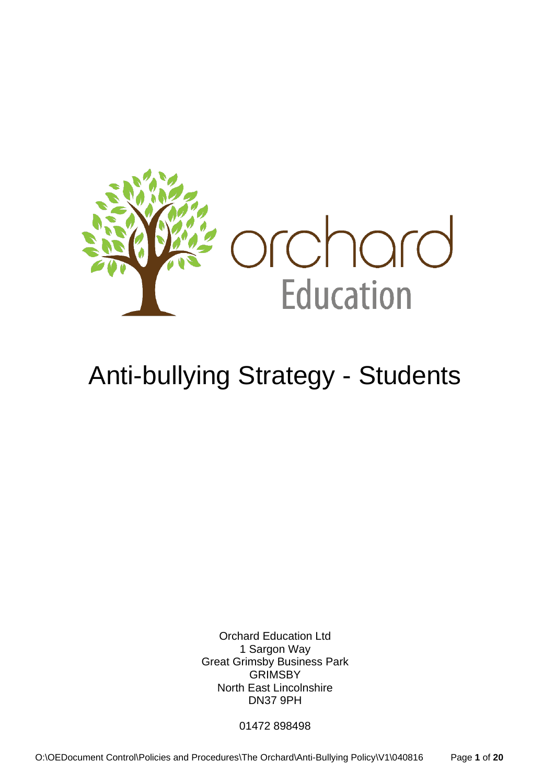

# Anti-bullying Strategy - Students

Orchard Education Ltd 1 Sargon Way Great Grimsby Business Park GRIMSBY North East Lincolnshire DN37 9PH

01472 898498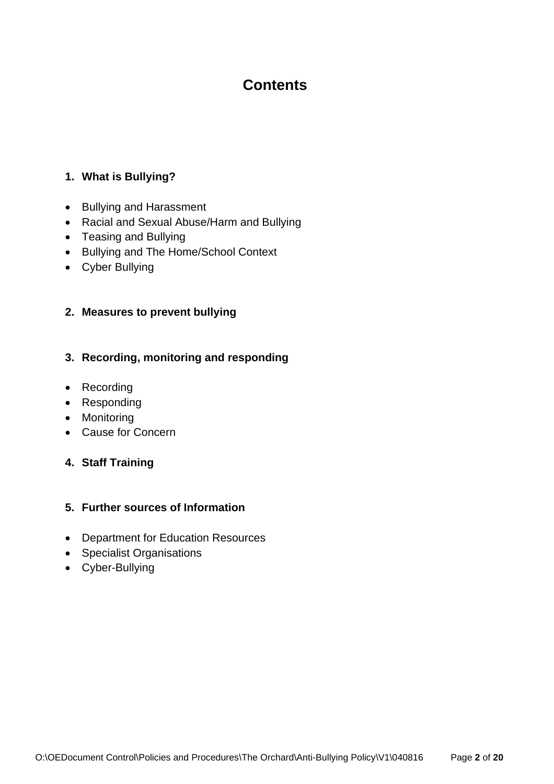# **Contents**

#### **1. What is Bullying?**

- Bullying and Harassment
- Racial and Sexual Abuse/Harm and Bullying
- Teasing and Bullying
- Bullying and The Home/School Context
- Cyber Bullying

#### **2. Measures to prevent bullying**

#### **3. Recording, monitoring and responding**

- Recording
- Responding
- Monitoring
- Cause for Concern
- **4. Staff Training**

#### **5. Further sources of Information**

- Department for Education Resources
- Specialist Organisations
- Cyber-Bullying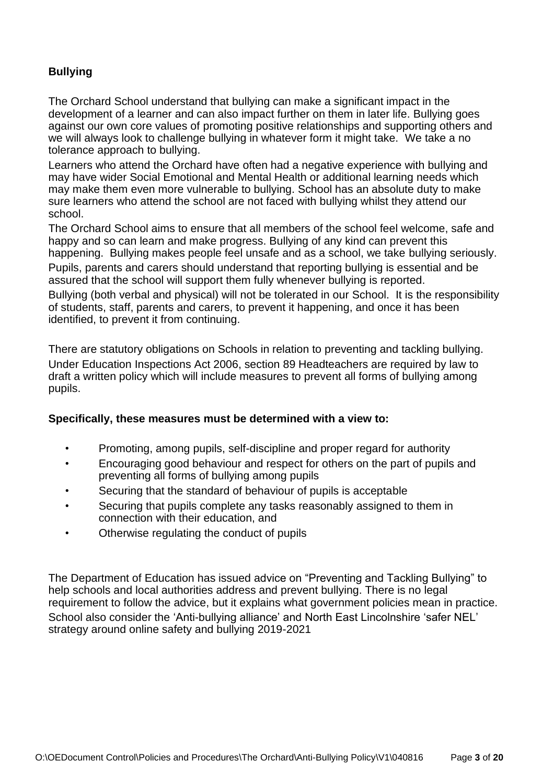## **Bullying**

The Orchard School understand that bullying can make a significant impact in the development of a learner and can also impact further on them in later life. Bullying goes against our own core values of promoting positive relationships and supporting others and we will always look to challenge bullying in whatever form it might take. We take a no tolerance approach to bullying.

Learners who attend the Orchard have often had a negative experience with bullying and may have wider Social Emotional and Mental Health or additional learning needs which may make them even more vulnerable to bullying. School has an absolute duty to make sure learners who attend the school are not faced with bullying whilst they attend our school.

The Orchard School aims to ensure that all members of the school feel welcome, safe and happy and so can learn and make progress. Bullying of any kind can prevent this happening. Bullying makes people feel unsafe and as a school, we take bullying seriously.

Pupils, parents and carers should understand that reporting bullying is essential and be assured that the school will support them fully whenever bullying is reported.

Bullying (both verbal and physical) will not be tolerated in our School. It is the responsibility of students, staff, parents and carers, to prevent it happening, and once it has been identified, to prevent it from continuing.

There are statutory obligations on Schools in relation to preventing and tackling bullying. Under Education Inspections Act 2006, section 89 Headteachers are required by law to draft a written policy which will include measures to prevent all forms of bullying among pupils.

#### **Specifically, these measures must be determined with a view to:**

- Promoting, among pupils, self-discipline and proper regard for authority
- Encouraging good behaviour and respect for others on the part of pupils and preventing all forms of bullying among pupils
- Securing that the standard of behaviour of pupils is acceptable
- Securing that pupils complete any tasks reasonably assigned to them in connection with their education, and
- Otherwise regulating the conduct of pupils

The Department of Education has issued advice on "Preventing and Tackling Bullying" to help schools and local authorities address and prevent bullying. There is no legal requirement to follow the advice, but it explains what government policies mean in practice. School also consider the 'Anti-bullying alliance' and North East Lincolnshire 'safer NEL' strategy around online safety and bullying 2019-2021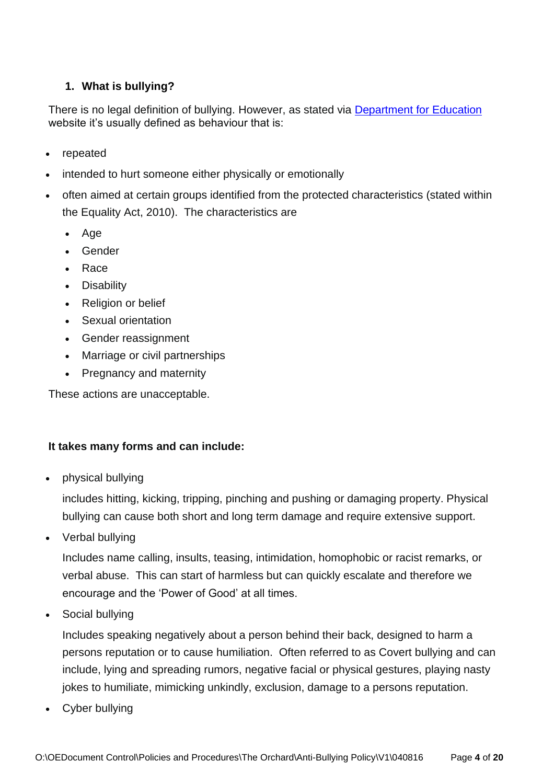## **1. What is bullying?**

There is no legal definition of bullying. However, as stated via [Department for Education](https://www.gov.uk/bullying-at-school/bullying-a-definition) website it's usually defined as behaviour that is:

- repeated
- intended to hurt someone either physically or emotionally
- often aimed at certain groups identified from the protected characteristics (stated within the Equality Act, 2010). The characteristics are
	- Age
	- Gender
	- Race
	- Disability
	- Religion or belief
	- Sexual orientation
	- Gender reassignment
	- Marriage or civil partnerships
	- Pregnancy and maternity

These actions are unacceptable.

#### **It takes many forms and can include:**

• physical bullying

includes hitting, kicking, tripping, pinching and pushing or damaging property. Physical bullying can cause both short and long term damage and require extensive support.

• Verbal bullying

Includes name calling, insults, teasing, intimidation, homophobic or racist remarks, or verbal abuse. This can start of harmless but can quickly escalate and therefore we encourage and the 'Power of Good' at all times.

Social bullying

Includes speaking negatively about a person behind their back, designed to harm a persons reputation or to cause humiliation. Often referred to as Covert bullying and can include, lying and spreading rumors, negative facial or physical gestures, playing nasty jokes to humiliate, mimicking unkindly, exclusion, damage to a persons reputation.

Cyber bullying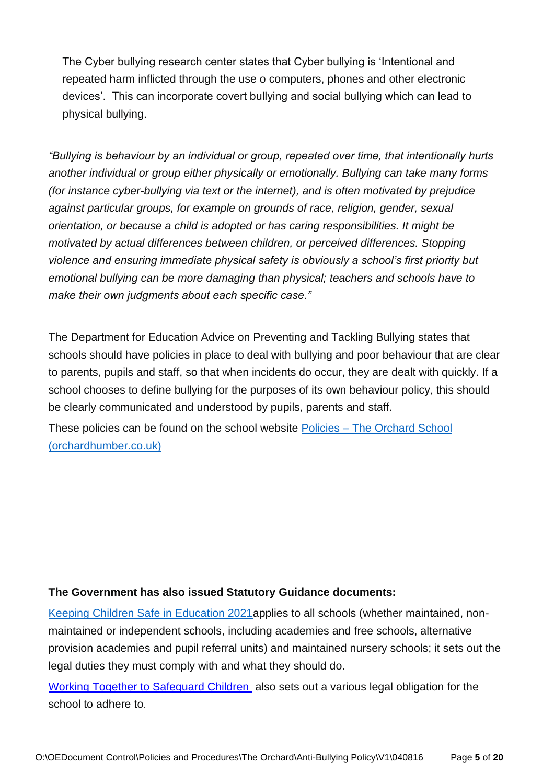The Cyber bullying research center states that Cyber bullying is 'Intentional and repeated harm inflicted through the use o computers, phones and other electronic devices'. This can incorporate covert bullying and social bullying which can lead to physical bullying.

*"Bullying is behaviour by an individual or group, repeated over time, that intentionally hurts another individual or group either physically or emotionally. Bullying can take many forms (for instance cyber-bullying via text or the internet), and is often motivated by prejudice against particular groups, for example on grounds of race, religion, gender, sexual orientation, or because a child is adopted or has caring responsibilities. It might be motivated by actual differences between children, or perceived differences. Stopping violence and ensuring immediate physical safety is obviously a school's first priority but emotional bullying can be more damaging than physical; teachers and schools have to make their own judgments about each specific case."*

The Department for Education Advice on Preventing and Tackling Bullying states that schools should have policies in place to deal with bullying and poor behaviour that are clear to parents, pupils and staff, so that when incidents do occur, they are dealt with quickly. If a school chooses to define bullying for the purposes of its own behaviour policy, this should be clearly communicated and understood by pupils, parents and staff.

These policies can be found on the school website Policies – [The Orchard School](https://www.orchardhumber.co.uk/policies/)  [\(orchardhumber.co.uk\)](https://www.orchardhumber.co.uk/policies/)

#### **The Government has also issued Statutory Guidance documents:**

[Keeping Children Safe in Education 2021a](https://www.gov.uk/government/publications/keeping-children-safe-in-education--2)pplies to all schools (whether maintained, nonmaintained or independent schools, including academies and free schools, alternative provision academies and pupil referral units) and maintained nursery schools; it sets out the legal duties they must comply with and what they should do.

[Working Together to Safeguard Children](https://www.gov.uk/government/publications/working-together-to-safeguard-children--2) also sets out a various legal obligation for the school to adhere to.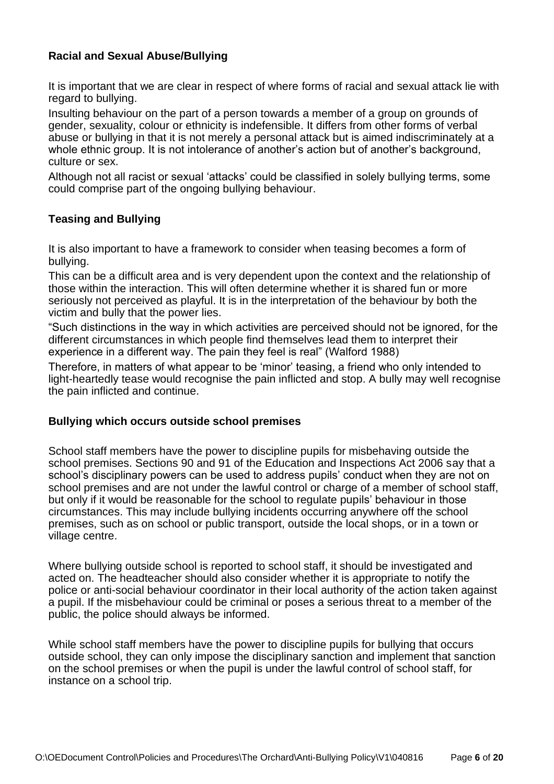#### **Racial and Sexual Abuse/Bullying**

It is important that we are clear in respect of where forms of racial and sexual attack lie with regard to bullying.

Insulting behaviour on the part of a person towards a member of a group on grounds of gender, sexuality, colour or ethnicity is indefensible. It differs from other forms of verbal abuse or bullying in that it is not merely a personal attack but is aimed indiscriminately at a whole ethnic group. It is not intolerance of another's action but of another's background, culture or sex.

Although not all racist or sexual 'attacks' could be classified in solely bullying terms, some could comprise part of the ongoing bullying behaviour.

#### **Teasing and Bullying**

It is also important to have a framework to consider when teasing becomes a form of bullying.

This can be a difficult area and is very dependent upon the context and the relationship of those within the interaction. This will often determine whether it is shared fun or more seriously not perceived as playful. It is in the interpretation of the behaviour by both the victim and bully that the power lies.

"Such distinctions in the way in which activities are perceived should not be ignored, for the different circumstances in which people find themselves lead them to interpret their experience in a different way. The pain they feel is real" (Walford 1988)

Therefore, in matters of what appear to be 'minor' teasing, a friend who only intended to light-heartedly tease would recognise the pain inflicted and stop. A bully may well recognise the pain inflicted and continue.

#### **Bullying which occurs outside school premises**

School staff members have the power to discipline pupils for misbehaving outside the school premises. Sections 90 and 91 of the Education and Inspections Act 2006 say that a school's disciplinary powers can be used to address pupils' conduct when they are not on school premises and are not under the lawful control or charge of a member of school staff, but only if it would be reasonable for the school to regulate pupils' behaviour in those circumstances. This may include bullying incidents occurring anywhere off the school premises, such as on school or public transport, outside the local shops, or in a town or village centre.

Where bullying outside school is reported to school staff, it should be investigated and acted on. The headteacher should also consider whether it is appropriate to notify the police or anti-social behaviour coordinator in their local authority of the action taken against a pupil. If the misbehaviour could be criminal or poses a serious threat to a member of the public, the police should always be informed.

While school staff members have the power to discipline pupils for bullying that occurs outside school, they can only impose the disciplinary sanction and implement that sanction on the school premises or when the pupil is under the lawful control of school staff, for instance on a school trip.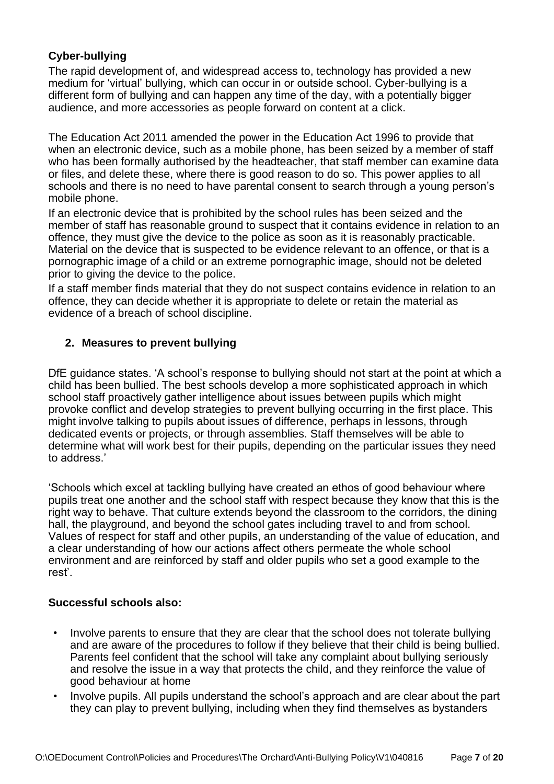### **Cyber-bullying**

The rapid development of, and widespread access to, technology has provided a new medium for 'virtual' bullying, which can occur in or outside school. Cyber-bullying is a different form of bullying and can happen any time of the day, with a potentially bigger audience, and more accessories as people forward on content at a click.

The Education Act 2011 amended the power in the Education Act 1996 to provide that when an electronic device, such as a mobile phone, has been seized by a member of staff who has been formally authorised by the headteacher, that staff member can examine data or files, and delete these, where there is good reason to do so. This power applies to all schools and there is no need to have parental consent to search through a young person's mobile phone.

If an electronic device that is prohibited by the school rules has been seized and the member of staff has reasonable ground to suspect that it contains evidence in relation to an offence, they must give the device to the police as soon as it is reasonably practicable. Material on the device that is suspected to be evidence relevant to an offence, or that is a pornographic image of a child or an extreme pornographic image, should not be deleted prior to giving the device to the police.

If a staff member finds material that they do not suspect contains evidence in relation to an offence, they can decide whether it is appropriate to delete or retain the material as evidence of a breach of school discipline.

### **2. Measures to prevent bullying**

DfE guidance states. 'A school's response to bullying should not start at the point at which a child has been bullied. The best schools develop a more sophisticated approach in which school staff proactively gather intelligence about issues between pupils which might provoke conflict and develop strategies to prevent bullying occurring in the first place. This might involve talking to pupils about issues of difference, perhaps in lessons, through dedicated events or projects, or through assemblies. Staff themselves will be able to determine what will work best for their pupils, depending on the particular issues they need to address.'

'Schools which excel at tackling bullying have created an ethos of good behaviour where pupils treat one another and the school staff with respect because they know that this is the right way to behave. That culture extends beyond the classroom to the corridors, the dining hall, the playground, and beyond the school gates including travel to and from school. Values of respect for staff and other pupils, an understanding of the value of education, and a clear understanding of how our actions affect others permeate the whole school environment and are reinforced by staff and older pupils who set a good example to the rest'.

#### **Successful schools also:**

- Involve parents to ensure that they are clear that the school does not tolerate bullying and are aware of the procedures to follow if they believe that their child is being bullied. Parents feel confident that the school will take any complaint about bullying seriously and resolve the issue in a way that protects the child, and they reinforce the value of good behaviour at home
- Involve pupils. All pupils understand the school's approach and are clear about the part they can play to prevent bullying, including when they find themselves as bystanders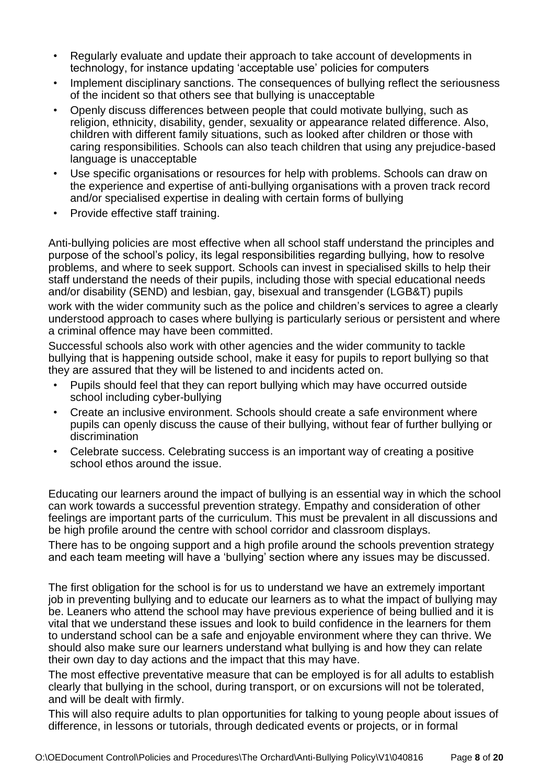- Regularly evaluate and update their approach to take account of developments in technology, for instance updating 'acceptable use' policies for computers
- Implement disciplinary sanctions. The consequences of bullying reflect the seriousness of the incident so that others see that bullying is unacceptable
- Openly discuss differences between people that could motivate bullying, such as religion, ethnicity, disability, gender, sexuality or appearance related difference. Also, children with different family situations, such as looked after children or those with caring responsibilities. Schools can also teach children that using any prejudice-based language is unacceptable
- Use specific organisations or resources for help with problems. Schools can draw on the experience and expertise of anti-bullying organisations with a proven track record and/or specialised expertise in dealing with certain forms of bullying
- Provide effective staff training.

Anti-bullying policies are most effective when all school staff understand the principles and purpose of the school's policy, its legal responsibilities regarding bullying, how to resolve problems, and where to seek support. Schools can invest in specialised skills to help their staff understand the needs of their pupils, including those with special educational needs and/or disability (SEND) and lesbian, gay, bisexual and transgender (LGB&T) pupils

work with the wider community such as the police and children's services to agree a clearly understood approach to cases where bullying is particularly serious or persistent and where a criminal offence may have been committed.

Successful schools also work with other agencies and the wider community to tackle bullying that is happening outside school, make it easy for pupils to report bullying so that they are assured that they will be listened to and incidents acted on.

- Pupils should feel that they can report bullying which may have occurred outside school including cyber-bullying
- Create an inclusive environment. Schools should create a safe environment where pupils can openly discuss the cause of their bullying, without fear of further bullying or discrimination
- Celebrate success. Celebrating success is an important way of creating a positive school ethos around the issue.

Educating our learners around the impact of bullying is an essential way in which the school can work towards a successful prevention strategy. Empathy and consideration of other feelings are important parts of the curriculum. This must be prevalent in all discussions and be high profile around the centre with school corridor and classroom displays.

There has to be ongoing support and a high profile around the schools prevention strategy and each team meeting will have a 'bullying' section where any issues may be discussed.

The first obligation for the school is for us to understand we have an extremely important job in preventing bullying and to educate our learners as to what the impact of bullying may be. Leaners who attend the school may have previous experience of being bullied and it is vital that we understand these issues and look to build confidence in the learners for them to understand school can be a safe and enjoyable environment where they can thrive. We should also make sure our learners understand what bullying is and how they can relate their own day to day actions and the impact that this may have.

The most effective preventative measure that can be employed is for all adults to establish clearly that bullying in the school, during transport, or on excursions will not be tolerated, and will be dealt with firmly.

This will also require adults to plan opportunities for talking to young people about issues of difference, in lessons or tutorials, through dedicated events or projects, or in formal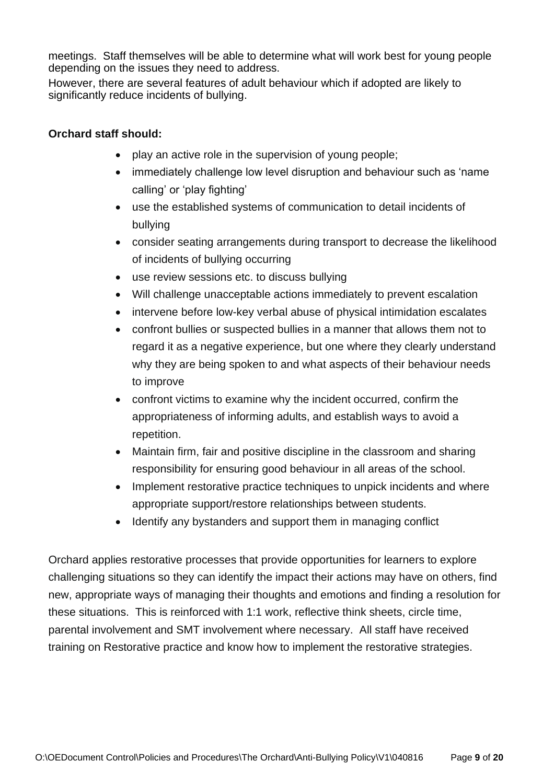meetings. Staff themselves will be able to determine what will work best for young people depending on the issues they need to address.

However, there are several features of adult behaviour which if adopted are likely to significantly reduce incidents of bullying.

#### **Orchard staff should:**

- play an active role in the supervision of young people;
- immediately challenge low level disruption and behaviour such as 'name calling' or 'play fighting'
- use the established systems of communication to detail incidents of bullying
- consider seating arrangements during transport to decrease the likelihood of incidents of bullying occurring
- use review sessions etc. to discuss bullying
- Will challenge unacceptable actions immediately to prevent escalation
- intervene before low-key verbal abuse of physical intimidation escalates
- confront bullies or suspected bullies in a manner that allows them not to regard it as a negative experience, but one where they clearly understand why they are being spoken to and what aspects of their behaviour needs to improve
- confront victims to examine why the incident occurred, confirm the appropriateness of informing adults, and establish ways to avoid a repetition.
- Maintain firm, fair and positive discipline in the classroom and sharing responsibility for ensuring good behaviour in all areas of the school.
- Implement restorative practice techniques to unpick incidents and where appropriate support/restore relationships between students.
- Identify any bystanders and support them in managing conflict

Orchard applies restorative processes that provide opportunities for learners to explore challenging situations so they can identify the impact their actions may have on others, find new, appropriate ways of managing their thoughts and emotions and finding a resolution for these situations. This is reinforced with 1:1 work, reflective think sheets, circle time, parental involvement and SMT involvement where necessary. All staff have received training on Restorative practice and know how to implement the restorative strategies.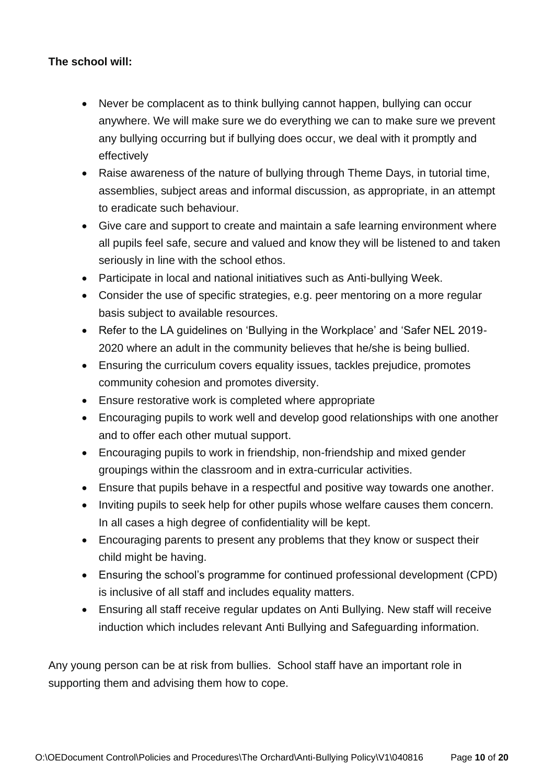## **The school will:**

- Never be complacent as to think bullying cannot happen, bullying can occur anywhere. We will make sure we do everything we can to make sure we prevent any bullying occurring but if bullying does occur, we deal with it promptly and effectively
- Raise awareness of the nature of bullying through Theme Days, in tutorial time, assemblies, subject areas and informal discussion, as appropriate, in an attempt to eradicate such behaviour.
- Give care and support to create and maintain a safe learning environment where all pupils feel safe, secure and valued and know they will be listened to and taken seriously in line with the school ethos.
- Participate in local and national initiatives such as Anti-bullying Week.
- Consider the use of specific strategies, e.g. peer mentoring on a more regular basis subject to available resources.
- Refer to the LA guidelines on 'Bullying in the Workplace' and 'Safer NEL 2019- 2020 where an adult in the community believes that he/she is being bullied.
- Ensuring the curriculum covers equality issues, tackles prejudice, promotes community cohesion and promotes diversity.
- Ensure restorative work is completed where appropriate
- Encouraging pupils to work well and develop good relationships with one another and to offer each other mutual support.
- Encouraging pupils to work in friendship, non-friendship and mixed gender groupings within the classroom and in extra-curricular activities.
- Ensure that pupils behave in a respectful and positive way towards one another.
- Inviting pupils to seek help for other pupils whose welfare causes them concern. In all cases a high degree of confidentiality will be kept.
- Encouraging parents to present any problems that they know or suspect their child might be having.
- Ensuring the school's programme for continued professional development (CPD) is inclusive of all staff and includes equality matters.
- Ensuring all staff receive regular updates on Anti Bullying. New staff will receive induction which includes relevant Anti Bullying and Safeguarding information.

Any young person can be at risk from bullies. School staff have an important role in supporting them and advising them how to cope.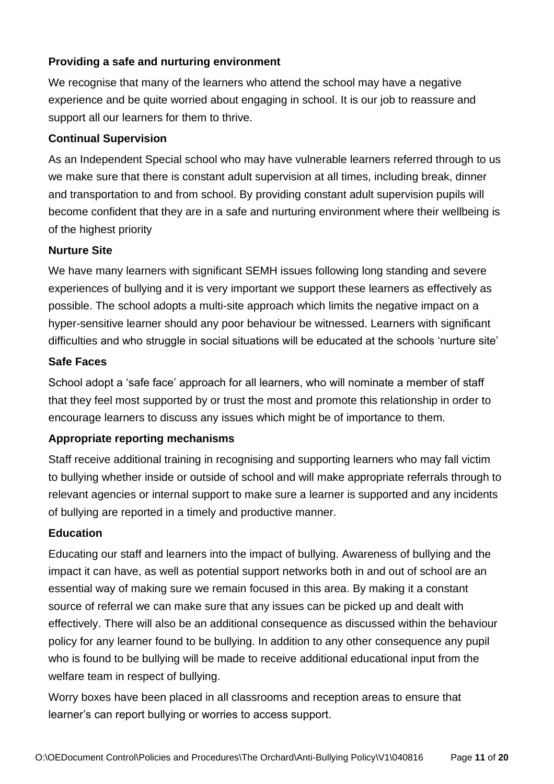## **Providing a safe and nurturing environment**

We recognise that many of the learners who attend the school may have a negative experience and be quite worried about engaging in school. It is our job to reassure and support all our learners for them to thrive.

#### **Continual Supervision**

As an Independent Special school who may have vulnerable learners referred through to us we make sure that there is constant adult supervision at all times, including break, dinner and transportation to and from school. By providing constant adult supervision pupils will become confident that they are in a safe and nurturing environment where their wellbeing is of the highest priority

#### **Nurture Site**

We have many learners with significant SEMH issues following long standing and severe experiences of bullying and it is very important we support these learners as effectively as possible. The school adopts a multi-site approach which limits the negative impact on a hyper-sensitive learner should any poor behaviour be witnessed. Learners with significant difficulties and who struggle in social situations will be educated at the schools 'nurture site'

#### **Safe Faces**

School adopt a 'safe face' approach for all learners, who will nominate a member of staff that they feel most supported by or trust the most and promote this relationship in order to encourage learners to discuss any issues which might be of importance to them.

### **Appropriate reporting mechanisms**

Staff receive additional training in recognising and supporting learners who may fall victim to bullying whether inside or outside of school and will make appropriate referrals through to relevant agencies or internal support to make sure a learner is supported and any incidents of bullying are reported in a timely and productive manner.

### **Education**

Educating our staff and learners into the impact of bullying. Awareness of bullying and the impact it can have, as well as potential support networks both in and out of school are an essential way of making sure we remain focused in this area. By making it a constant source of referral we can make sure that any issues can be picked up and dealt with effectively. There will also be an additional consequence as discussed within the behaviour policy for any learner found to be bullying. In addition to any other consequence any pupil who is found to be bullying will be made to receive additional educational input from the welfare team in respect of bullying.

Worry boxes have been placed in all classrooms and reception areas to ensure that learner's can report bullying or worries to access support.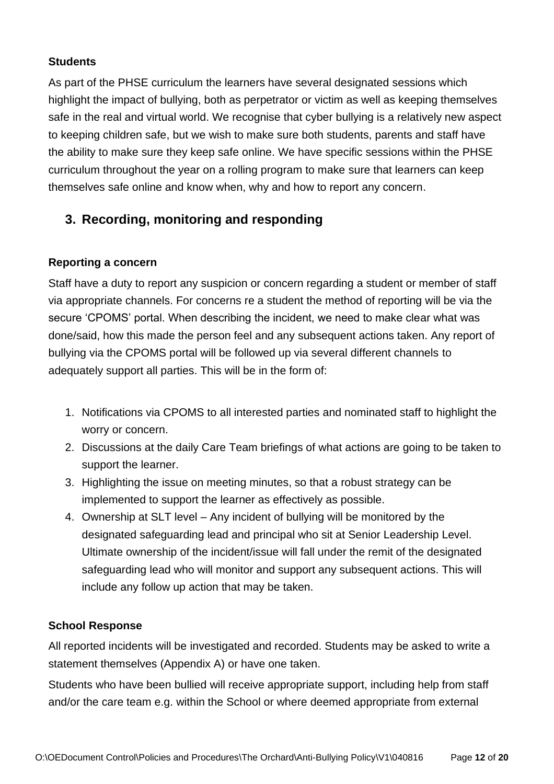#### **Students**

As part of the PHSE curriculum the learners have several designated sessions which highlight the impact of bullying, both as perpetrator or victim as well as keeping themselves safe in the real and virtual world. We recognise that cyber bullying is a relatively new aspect to keeping children safe, but we wish to make sure both students, parents and staff have the ability to make sure they keep safe online. We have specific sessions within the PHSE curriculum throughout the year on a rolling program to make sure that learners can keep themselves safe online and know when, why and how to report any concern.

# **3. Recording, monitoring and responding**

### **Reporting a concern**

Staff have a duty to report any suspicion or concern regarding a student or member of staff via appropriate channels. For concerns re a student the method of reporting will be via the secure 'CPOMS' portal. When describing the incident, we need to make clear what was done/said, how this made the person feel and any subsequent actions taken. Any report of bullying via the CPOMS portal will be followed up via several different channels to adequately support all parties. This will be in the form of:

- 1. Notifications via CPOMS to all interested parties and nominated staff to highlight the worry or concern.
- 2. Discussions at the daily Care Team briefings of what actions are going to be taken to support the learner.
- 3. Highlighting the issue on meeting minutes, so that a robust strategy can be implemented to support the learner as effectively as possible.
- 4. Ownership at SLT level Any incident of bullying will be monitored by the designated safeguarding lead and principal who sit at Senior Leadership Level. Ultimate ownership of the incident/issue will fall under the remit of the designated safeguarding lead who will monitor and support any subsequent actions. This will include any follow up action that may be taken.

#### **School Response**

All reported incidents will be investigated and recorded. Students may be asked to write a statement themselves (Appendix A) or have one taken.

Students who have been bullied will receive appropriate support, including help from staff and/or the care team e.g. within the School or where deemed appropriate from external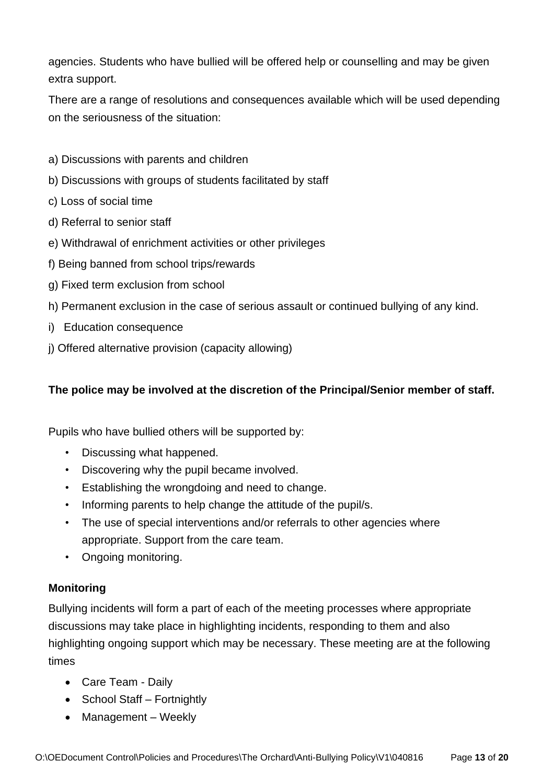agencies. Students who have bullied will be offered help or counselling and may be given extra support.

There are a range of resolutions and consequences available which will be used depending on the seriousness of the situation:

- a) Discussions with parents and children
- b) Discussions with groups of students facilitated by staff
- c) Loss of social time
- d) Referral to senior staff
- e) Withdrawal of enrichment activities or other privileges
- f) Being banned from school trips/rewards
- g) Fixed term exclusion from school
- h) Permanent exclusion in the case of serious assault or continued bullying of any kind.
- i) Education consequence
- j) Offered alternative provision (capacity allowing)

#### **The police may be involved at the discretion of the Principal/Senior member of staff.**

Pupils who have bullied others will be supported by:

- Discussing what happened.
- Discovering why the pupil became involved.
- Establishing the wrongdoing and need to change.
- Informing parents to help change the attitude of the pupil/s.
- The use of special interventions and/or referrals to other agencies where appropriate. Support from the care team.
- Ongoing monitoring.

### **Monitoring**

Bullying incidents will form a part of each of the meeting processes where appropriate discussions may take place in highlighting incidents, responding to them and also highlighting ongoing support which may be necessary. These meeting are at the following times

- Care Team Daily
- School Staff Fortnightly
- Management Weekly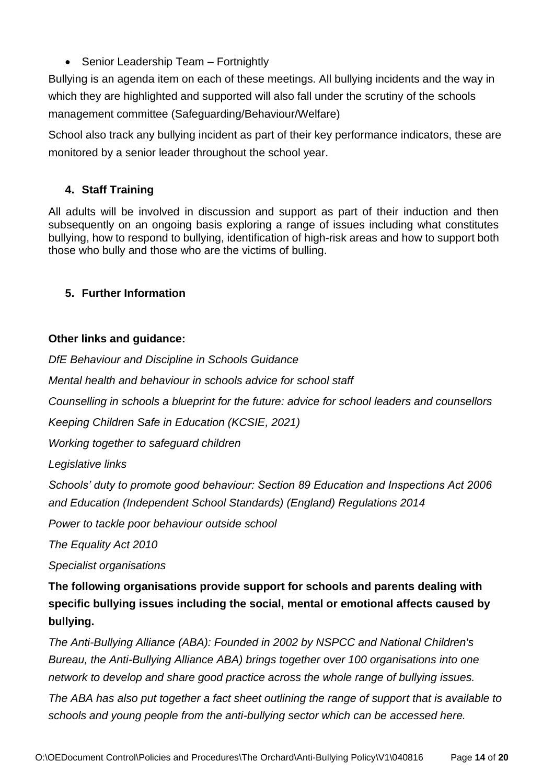• Senior Leadership Team – Fortnightly

Bullying is an agenda item on each of these meetings. All bullying incidents and the way in which they are highlighted and supported will also fall under the scrutiny of the schools management committee (Safeguarding/Behaviour/Welfare)

School also track any bullying incident as part of their key performance indicators, these are monitored by a senior leader throughout the school year.

## **4. Staff Training**

All adults will be involved in discussion and support as part of their induction and then subsequently on an ongoing basis exploring a range of issues including what constitutes bullying, how to respond to bullying, identification of high-risk areas and how to support both those who bully and those who are the victims of bulling.

## **5. Further Information**

### **Other links and guidance:**

*DfE Behaviour and Discipline in Schools Guidance* 

*Mental health and behaviour in schools advice for school staff* 

*Counselling in schools a blueprint for the future: advice for school leaders and counsellors* 

*Keeping Children Safe in Education (KCSIE, 2021)* 

*Working together to safeguard children* 

*Legislative links* 

*Schools' duty to promote good behaviour: Section 89 Education and Inspections Act 2006 and Education (Independent School Standards) (England) Regulations 2014* 

*Power to tackle poor behaviour outside school* 

*The Equality Act 2010* 

*Specialist organisations* 

**The following organisations provide support for schools and parents dealing with specific bullying issues including the social, mental or emotional affects caused by bullying.** 

*The Anti-Bullying Alliance (ABA): Founded in 2002 by NSPCC and National Children's Bureau, the Anti-Bullying Alliance ABA) brings together over 100 organisations into one network to develop and share good practice across the whole range of bullying issues.* 

*The ABA has also put together a fact sheet outlining the range of support that is available to schools and young people from the anti-bullying sector which can be accessed here.*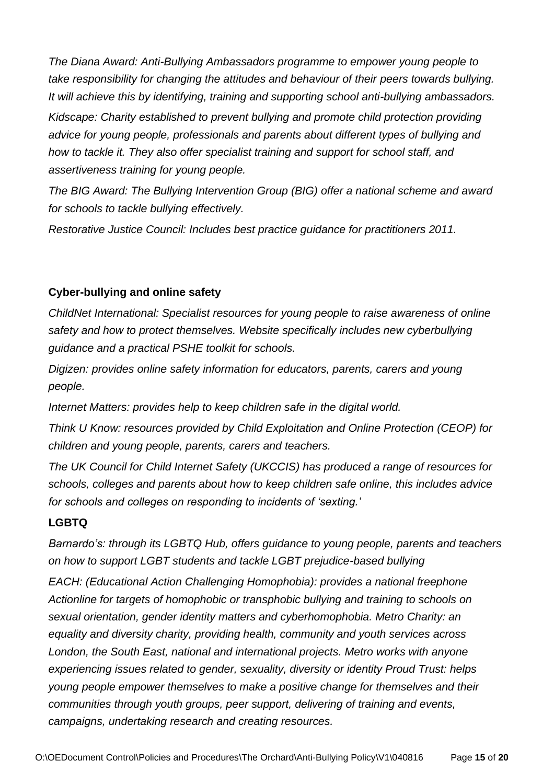*The Diana Award: Anti-Bullying Ambassadors programme to empower young people to take responsibility for changing the attitudes and behaviour of their peers towards bullying. It will achieve this by identifying, training and supporting school anti-bullying ambassadors. Kidscape: Charity established to prevent bullying and promote child protection providing advice for young people, professionals and parents about different types of bullying and how to tackle it. They also offer specialist training and support for school staff, and assertiveness training for young people.* 

*The BIG Award: The Bullying Intervention Group (BIG) offer a national scheme and award for schools to tackle bullying effectively.* 

*Restorative Justice Council: Includes best practice guidance for practitioners 2011.* 

### **Cyber-bullying and online safety**

*ChildNet International: Specialist resources for young people to raise awareness of online safety and how to protect themselves. Website specifically includes new cyberbullying guidance and a practical PSHE toolkit for schools.* 

*Digizen: provides online safety information for educators, parents, carers and young people.* 

*Internet Matters: provides help to keep children safe in the digital world.* 

*Think U Know: resources provided by Child Exploitation and Online Protection (CEOP) for children and young people, parents, carers and teachers.* 

*The UK Council for Child Internet Safety (UKCCIS) has produced a range of resources for schools, colleges and parents about how to keep children safe online, this includes advice for schools and colleges on responding to incidents of 'sexting.'* 

### **LGBTQ**

*Barnardo's: through its LGBTQ Hub, offers guidance to young people, parents and teachers on how to support LGBT students and tackle LGBT prejudice-based bullying* 

*EACH: (Educational Action Challenging Homophobia): provides a national freephone Actionline for targets of homophobic or transphobic bullying and training to schools on sexual orientation, gender identity matters and cyberhomophobia. Metro Charity: an equality and diversity charity, providing health, community and youth services across London, the South East, national and international projects. Metro works with anyone experiencing issues related to gender, sexuality, diversity or identity Proud Trust: helps young people empower themselves to make a positive change for themselves and their communities through youth groups, peer support, delivering of training and events, campaigns, undertaking research and creating resources.*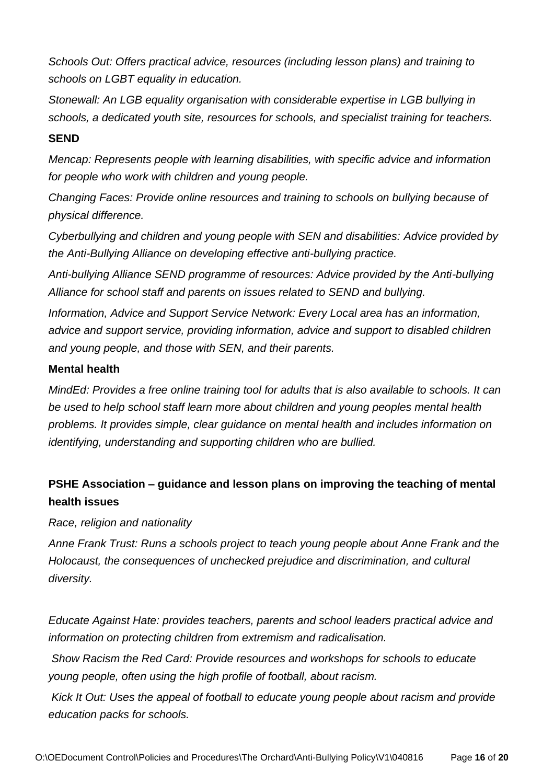*Schools Out: Offers practical advice, resources (including lesson plans) and training to schools on LGBT equality in education.* 

*Stonewall: An LGB equality organisation with considerable expertise in LGB bullying in schools, a dedicated youth site, resources for schools, and specialist training for teachers.* 

#### **SEND**

*Mencap: Represents people with learning disabilities, with specific advice and information for people who work with children and young people.* 

*Changing Faces: Provide online resources and training to schools on bullying because of physical difference.* 

*Cyberbullying and children and young people with SEN and disabilities: Advice provided by the Anti-Bullying Alliance on developing effective anti-bullying practice.* 

*Anti-bullying Alliance SEND programme of resources: Advice provided by the Anti-bullying Alliance for school staff and parents on issues related to SEND and bullying.* 

*Information, Advice and Support Service Network: Every Local area has an information, advice and support service, providing information, advice and support to disabled children and young people, and those with SEN, and their parents.* 

#### **Mental health**

*MindEd: Provides a free online training tool for adults that is also available to schools. It can be used to help school staff learn more about children and young peoples mental health problems. It provides simple, clear guidance on mental health and includes information on identifying, understanding and supporting children who are bullied.* 

## **PSHE Association – guidance and lesson plans on improving the teaching of mental health issues**

*Race, religion and nationality* 

*Anne Frank Trust: Runs a schools project to teach young people about Anne Frank and the Holocaust, the consequences of unchecked prejudice and discrimination, and cultural diversity.* 

*Educate Against Hate: provides teachers, parents and school leaders practical advice and information on protecting children from extremism and radicalisation.* 

*Show Racism the Red Card: Provide resources and workshops for schools to educate young people, often using the high profile of football, about racism.* 

*Kick It Out: Uses the appeal of football to educate young people about racism and provide education packs for schools.*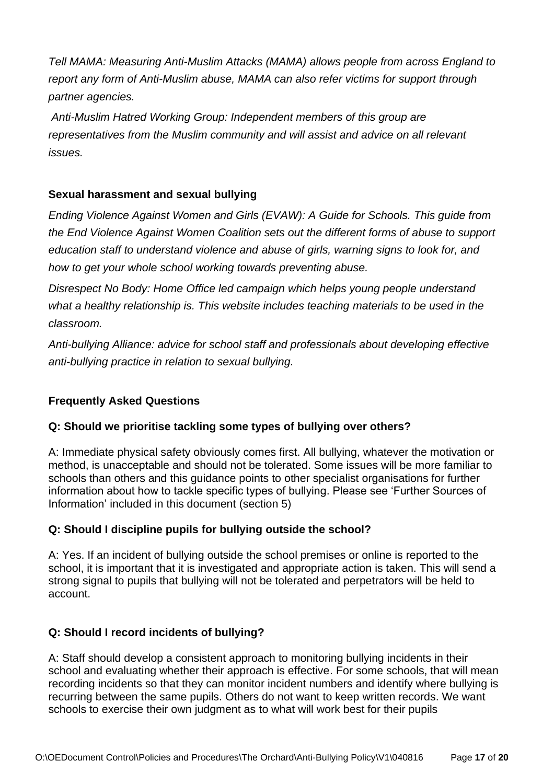*Tell MAMA: Measuring Anti-Muslim Attacks (MAMA) allows people from across England to report any form of Anti-Muslim abuse, MAMA can also refer victims for support through partner agencies.* 

*Anti-Muslim Hatred Working Group: Independent members of this group are representatives from the Muslim community and will assist and advice on all relevant issues.* 

### **Sexual harassment and sexual bullying**

*Ending Violence Against Women and Girls (EVAW): A Guide for Schools. This guide from the End Violence Against Women Coalition sets out the different forms of abuse to support education staff to understand violence and abuse of girls, warning signs to look for, and how to get your whole school working towards preventing abuse.* 

*Disrespect No Body: Home Office led campaign which helps young people understand what a healthy relationship is. This website includes teaching materials to be used in the classroom.* 

*Anti-bullying Alliance: advice for school staff and professionals about developing effective anti-bullying practice in relation to sexual bullying.* 

## **Frequently Asked Questions**

### **Q: Should we prioritise tackling some types of bullying over others?**

A: Immediate physical safety obviously comes first. All bullying, whatever the motivation or method, is unacceptable and should not be tolerated. Some issues will be more familiar to schools than others and this guidance points to other specialist organisations for further information about how to tackle specific types of bullying. Please see 'Further Sources of Information' included in this document (section 5)

### **Q: Should I discipline pupils for bullying outside the school?**

A: Yes. If an incident of bullying outside the school premises or online is reported to the school, it is important that it is investigated and appropriate action is taken. This will send a strong signal to pupils that bullying will not be tolerated and perpetrators will be held to account.

## **Q: Should I record incidents of bullying?**

A: Staff should develop a consistent approach to monitoring bullying incidents in their school and evaluating whether their approach is effective. For some schools, that will mean recording incidents so that they can monitor incident numbers and identify where bullying is recurring between the same pupils. Others do not want to keep written records. We want schools to exercise their own judgment as to what will work best for their pupils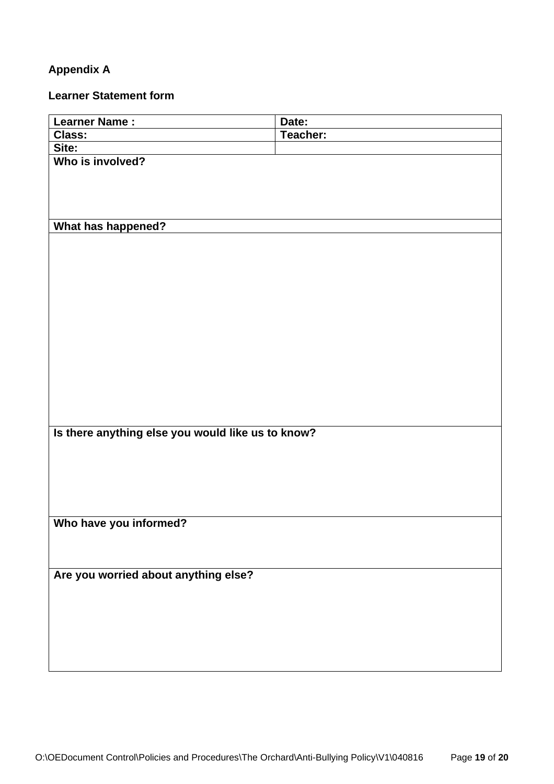# **Appendix A**

## **Learner Statement form**

| Learner Name :                                    | Date:    |  |  |  |
|---------------------------------------------------|----------|--|--|--|
| <b>Class:</b>                                     | Teacher: |  |  |  |
| Site:                                             |          |  |  |  |
| Who is involved?                                  |          |  |  |  |
|                                                   |          |  |  |  |
|                                                   |          |  |  |  |
|                                                   |          |  |  |  |
|                                                   |          |  |  |  |
| What has happened?                                |          |  |  |  |
|                                                   |          |  |  |  |
|                                                   |          |  |  |  |
|                                                   |          |  |  |  |
|                                                   |          |  |  |  |
|                                                   |          |  |  |  |
|                                                   |          |  |  |  |
|                                                   |          |  |  |  |
|                                                   |          |  |  |  |
|                                                   |          |  |  |  |
|                                                   |          |  |  |  |
|                                                   |          |  |  |  |
|                                                   |          |  |  |  |
|                                                   |          |  |  |  |
|                                                   |          |  |  |  |
| Is there anything else you would like us to know? |          |  |  |  |
|                                                   |          |  |  |  |
|                                                   |          |  |  |  |
|                                                   |          |  |  |  |
|                                                   |          |  |  |  |
|                                                   |          |  |  |  |
|                                                   |          |  |  |  |
| Who have you informed?                            |          |  |  |  |
|                                                   |          |  |  |  |
|                                                   |          |  |  |  |
| Are you worried about anything else?              |          |  |  |  |
|                                                   |          |  |  |  |
|                                                   |          |  |  |  |
|                                                   |          |  |  |  |
|                                                   |          |  |  |  |
|                                                   |          |  |  |  |
|                                                   |          |  |  |  |
|                                                   |          |  |  |  |
|                                                   |          |  |  |  |